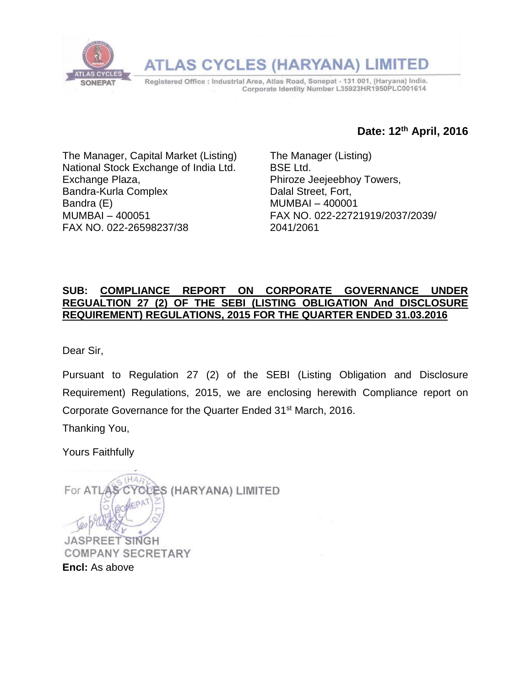

## **Date: 12 th April, 2016**

The Manager, Capital Market (Listing) National Stock Exchange of India Ltd. Exchange Plaza, Bandra-Kurla Complex Bandra (E) MUMBAI – 400051 FAX NO. 022-26598237/38

The Manager (Listing) BSE Ltd. Phiroze Jeejeebhoy Towers, Dalal Street, Fort, MUMBAI – 400001 FAX NO. 022-22721919/2037/2039/ 2041/2061

## **SUB: COMPLIANCE REPORT ON CORPORATE GOVERNANCE UNDER REGUALTION 27 (2) OF THE SEBI (LISTING OBLIGATION And DISCLOSURE REQUIREMENT) REGULATIONS, 2015 FOR THE QUARTER ENDED 31.03.2016**

Dear Sir,

Pursuant to Regulation 27 (2) of the SEBI (Listing Obligation and Disclosure Requirement) Regulations, 2015, we are enclosing herewith Compliance report on Corporate Governance for the Quarter Ended 31<sup>st</sup> March, 2016.

Thanking You,

Yours Faithfully

For ATLAS ÈS (HARYANA) LIMITED **JASPREET SINGH COMPANY SECRETARY Encl:** As above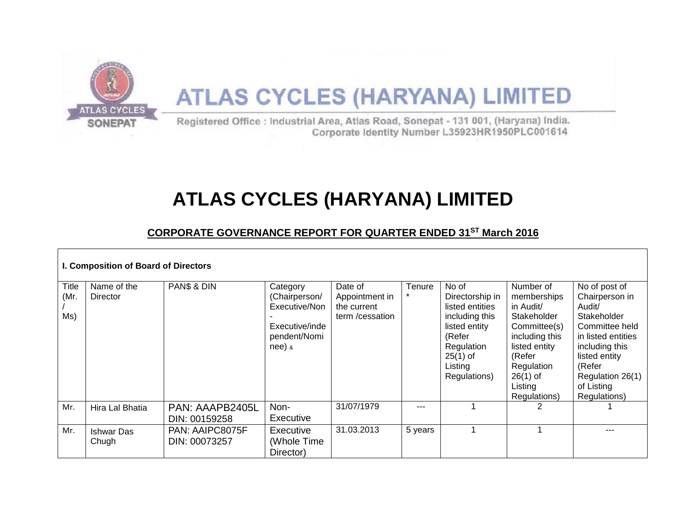

# **ATLAS CYCLES (HARYANA) LIMITED**

# **CORPORATE GOVERNANCE REPORT FOR QUARTER ENDED 31ST March 2016**

| I. Composition of Board of Directors |                            |                                  |                                                                                          |                                                              |                   |                                                                                                                                                 |                                                                                                                                                                          |                                                                                                                                                                                                 |
|--------------------------------------|----------------------------|----------------------------------|------------------------------------------------------------------------------------------|--------------------------------------------------------------|-------------------|-------------------------------------------------------------------------------------------------------------------------------------------------|--------------------------------------------------------------------------------------------------------------------------------------------------------------------------|-------------------------------------------------------------------------------------------------------------------------------------------------------------------------------------------------|
| Title<br>(Mr.<br>Ms)                 | Name of the<br>Director    | PANS & DIN                       | Category<br>(Chairperson/<br>Executive/Non<br>Executive/inde<br>pendent/Nomi<br>$nee)$ & | Date of<br>Appointment in<br>the current<br>term / cessation | Tenure<br>$\star$ | No of<br>Directorship in<br>listed entities<br>including this<br>listed entity<br>(Refer<br>Regulation<br>$25(1)$ of<br>Listing<br>Regulations) | Number of<br>memberships<br>in Audit/<br>Stakeholder<br>Committee(s)<br>including this<br>listed entity<br>(Refer<br>Regulation<br>$26(1)$ of<br>Listing<br>Regulations) | No of post of<br>Chairperson in<br>Audit/<br>Stakeholder<br>Committee held<br>in listed entities<br>including this<br>listed entity<br>(Refer<br>Regulation 26(1)<br>of Listing<br>Regulations) |
| Mr.                                  | Hira Lal Bhatia            | PAN: AAAPB2405L<br>DIN: 00159258 | Non-<br>Executive                                                                        | 31/07/1979                                                   | ---               |                                                                                                                                                 |                                                                                                                                                                          |                                                                                                                                                                                                 |
| Mr.                                  | <b>Ishwar Das</b><br>Chugh | PAN: AAIPC8075F<br>DIN: 00073257 | Executive<br>(Whole Time)<br>Director)                                                   | 31.03.2013                                                   | 5 years           |                                                                                                                                                 |                                                                                                                                                                          |                                                                                                                                                                                                 |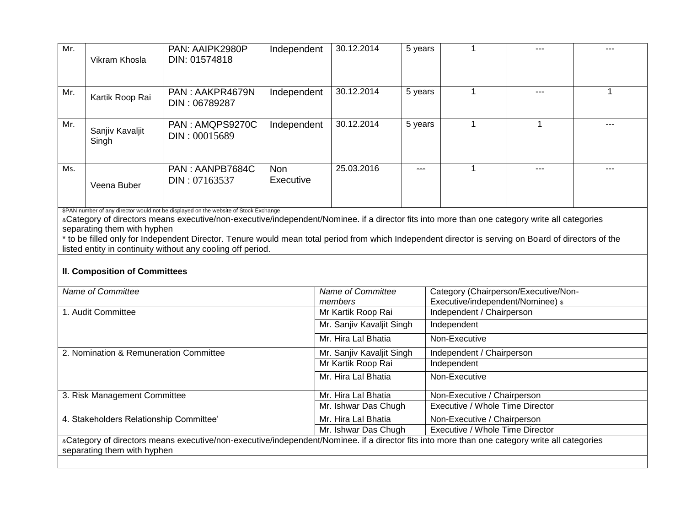| Mr. | Vikram Khosla            | PAN: AAIPK2980P<br>DIN: 01574818 | Independent             | 30.12.2014 | 5 years | $--$    |  |
|-----|--------------------------|----------------------------------|-------------------------|------------|---------|---------|--|
| Mr. | Kartik Roop Rai          | PAN: AAKPR4679N<br>DIN: 06789287 | Independent             | 30.12.2014 | 5 years | $- - -$ |  |
| Mr. | Sanjiv Kavaljit<br>Singh | PAN: AMQPS9270C<br>DIN: 00015689 | Independent             | 30.12.2014 | 5 years |         |  |
| Ms. | Veena Buber              | PAN: AANPB7684C<br>DIN: 07163537 | <b>Non</b><br>Executive | 25.03.2016 |         | $- - -$ |  |

\$PAN number of any director would not be displayed on the website of Stock Exchange

aCategory of directors means executive/non-executive/independent/Nominee. if a director fits into more than one category write all categories separating them with hyphen

\* to be filled only for Independent Director. Tenure would mean total period from which Independent director is serving on Board of directors of the listed entity in continuity without any cooling off period.

#### **II. Composition of Committees**

| Name of Committee                                                                                                                             | Name of Committee                        | Category (Chairperson/Executive/Non- |  |  |  |  |
|-----------------------------------------------------------------------------------------------------------------------------------------------|------------------------------------------|--------------------------------------|--|--|--|--|
|                                                                                                                                               | members                                  | Executive/independent/Nominee) \$    |  |  |  |  |
| 1. Audit Committee                                                                                                                            | Mr Kartik Roop Rai                       | Independent / Chairperson            |  |  |  |  |
|                                                                                                                                               | Mr. Sanjiv Kavaljit Singh<br>Independent |                                      |  |  |  |  |
|                                                                                                                                               | Mr. Hira Lal Bhatia                      | Non-Executive                        |  |  |  |  |
| 2. Nomination & Remuneration Committee                                                                                                        | Mr. Sanjiv Kavaljit Singh                | Independent / Chairperson            |  |  |  |  |
|                                                                                                                                               | Mr Kartik Roop Rai                       | Independent                          |  |  |  |  |
|                                                                                                                                               | Mr. Hira Lal Bhatia                      | Non-Executive                        |  |  |  |  |
| 3. Risk Management Committee                                                                                                                  | Mr. Hira Lal Bhatia                      | Non-Executive / Chairperson          |  |  |  |  |
|                                                                                                                                               | Mr. Ishwar Das Chugh                     | Executive / Whole Time Director      |  |  |  |  |
| 4. Stakeholders Relationship Committee'                                                                                                       | Mr. Hira Lal Bhatia                      | Non-Executive / Chairperson          |  |  |  |  |
|                                                                                                                                               | Mr. Ishwar Das Chugh                     | Executive / Whole Time Director      |  |  |  |  |
| «Category of directors means executive/non-executive/independent/Nominee. if a director fits into more than one category write all categories |                                          |                                      |  |  |  |  |
| separating them with hyphen                                                                                                                   |                                          |                                      |  |  |  |  |
|                                                                                                                                               |                                          |                                      |  |  |  |  |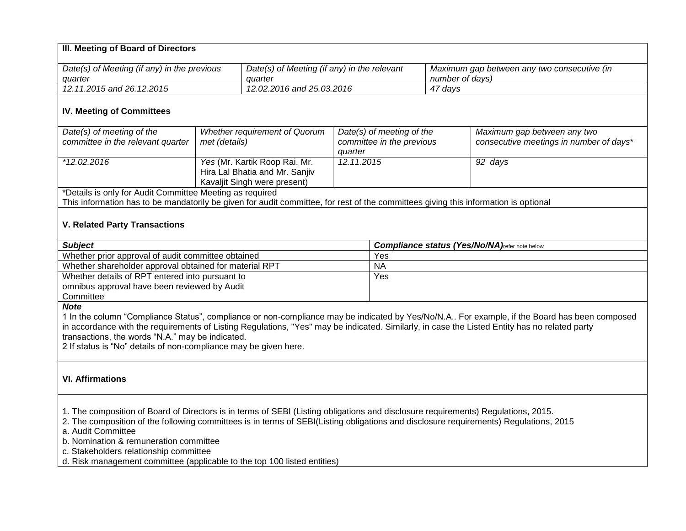| III. Meeting of Board of Directors                                                                                                                                                                                                                                                   |               |                                                            |                                      |           |                 |                                                                                                                                              |  |
|--------------------------------------------------------------------------------------------------------------------------------------------------------------------------------------------------------------------------------------------------------------------------------------|---------------|------------------------------------------------------------|--------------------------------------|-----------|-----------------|----------------------------------------------------------------------------------------------------------------------------------------------|--|
|                                                                                                                                                                                                                                                                                      |               |                                                            |                                      |           |                 |                                                                                                                                              |  |
| Date(s) of Meeting (if any) in the previous                                                                                                                                                                                                                                          |               | Date(s) of Meeting (if any) in the relevant                |                                      |           |                 | Maximum gap between any two consecutive (in                                                                                                  |  |
| quarter                                                                                                                                                                                                                                                                              |               | quarter                                                    |                                      |           | number of days) |                                                                                                                                              |  |
| 12.11.2015 and 26.12.2015                                                                                                                                                                                                                                                            |               | 12.02.2016 and 25.03.2016                                  |                                      |           | 47 days         |                                                                                                                                              |  |
| <b>IV. Meeting of Committees</b>                                                                                                                                                                                                                                                     |               |                                                            |                                      |           |                 |                                                                                                                                              |  |
| Date(s) of meeting of the                                                                                                                                                                                                                                                            |               | Whether requirement of Quorum<br>Date(s) of meeting of the |                                      |           |                 | Maximum gap between any two                                                                                                                  |  |
| committee in the relevant quarter                                                                                                                                                                                                                                                    | met (details) |                                                            | committee in the previous<br>quarter |           |                 | consecutive meetings in number of days*                                                                                                      |  |
| *12.02.2016                                                                                                                                                                                                                                                                          |               | Yes (Mr. Kartik Roop Rai, Mr.                              | 12.11.2015                           |           |                 | 92 days                                                                                                                                      |  |
|                                                                                                                                                                                                                                                                                      |               | Hira Lal Bhatia and Mr. Sanjiv                             |                                      |           |                 |                                                                                                                                              |  |
|                                                                                                                                                                                                                                                                                      |               | Kavaljit Singh were present)                               |                                      |           |                 |                                                                                                                                              |  |
| *Details is only for Audit Committee Meeting as required                                                                                                                                                                                                                             |               |                                                            |                                      |           |                 |                                                                                                                                              |  |
| This information has to be mandatorily be given for audit committee, for rest of the committees giving this information is optional                                                                                                                                                  |               |                                                            |                                      |           |                 |                                                                                                                                              |  |
| <b>V. Related Party Transactions</b>                                                                                                                                                                                                                                                 |               |                                                            |                                      |           |                 |                                                                                                                                              |  |
| <b>Subject</b>                                                                                                                                                                                                                                                                       |               |                                                            |                                      |           |                 | <b>Compliance status (Yes/No/NA)</b> refer note below                                                                                        |  |
| Whether prior approval of audit committee obtained                                                                                                                                                                                                                                   |               |                                                            | Yes                                  |           |                 |                                                                                                                                              |  |
| Whether shareholder approval obtained for material RPT                                                                                                                                                                                                                               |               |                                                            |                                      | <b>NA</b> |                 |                                                                                                                                              |  |
| Whether details of RPT entered into pursuant to                                                                                                                                                                                                                                      |               |                                                            | Yes                                  |           |                 |                                                                                                                                              |  |
| omnibus approval have been reviewed by Audit                                                                                                                                                                                                                                         |               |                                                            |                                      |           |                 |                                                                                                                                              |  |
| Committee                                                                                                                                                                                                                                                                            |               |                                                            |                                      |           |                 |                                                                                                                                              |  |
| <b>Note</b><br>in accordance with the requirements of Listing Regulations, "Yes" may be indicated. Similarly, in case the Listed Entity has no related party<br>transactions, the words "N.A." may be indicated.<br>2 If status is "No" details of non-compliance may be given here. |               |                                                            |                                      |           |                 | 1 In the column "Compliance Status", compliance or non-compliance may be indicated by Yes/No/N.A For example, if the Board has been composed |  |
| <b>VI. Affirmations</b>                                                                                                                                                                                                                                                              |               |                                                            |                                      |           |                 |                                                                                                                                              |  |
| 1. The composition of Board of Directors is in terms of SEBI (Listing obligations and disclosure requirements) Regulations, 2015.                                                                                                                                                    |               |                                                            |                                      |           |                 |                                                                                                                                              |  |

2. The composition of the following committees is in terms of SEBI(Listing obligations and disclosure requirements) Regulations, 2015

a. Audit Committee

b. Nomination & remuneration committee

c. Stakeholders relationship committee

d. Risk management committee (applicable to the top 100 listed entities)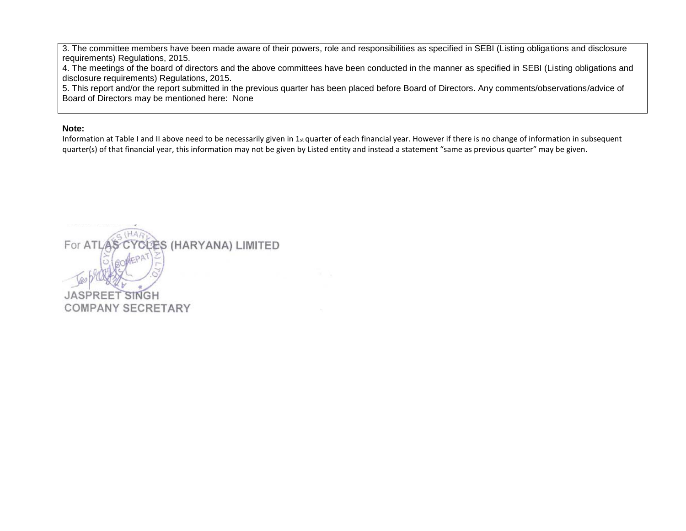3. The committee members have been made aware of their powers, role and responsibilities as specified in SEBI (Listing obligations and disclosure requirements) Regulations, 2015.

4. The meetings of the board of directors and the above committees have been conducted in the manner as specified in SEBI (Listing obligations and disclosure requirements) Regulations, 2015.

5. This report and/or the report submitted in the previous quarter has been placed before Board of Directors. Any comments/observations/advice of Board of Directors may be mentioned here: None

#### **Note:**

Information at Table I and II above need to be necessarily given in  $1_{st}$  quarter of each financial year. However if there is no change of information in subsequent quarter(s) of that financial year, this information may not be given by Listed entity and instead a statement "same as previous quarter" may be given.

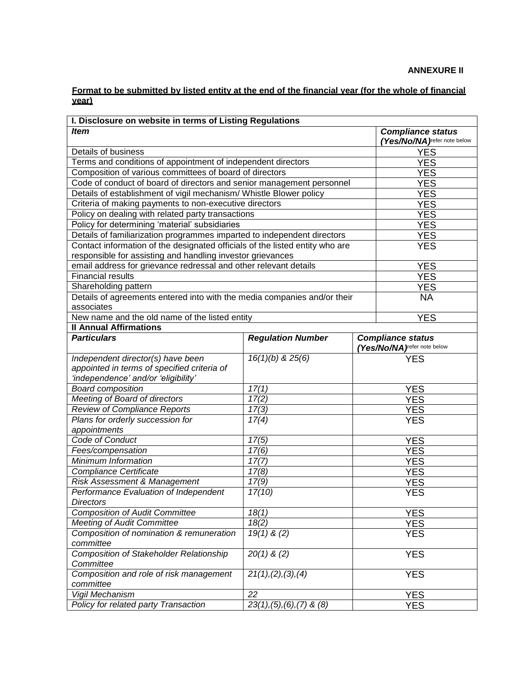#### **ANNEXURE II**

#### **Format to be submitted by listed entity at the end of the financial year (for the whole of financial year)**

| I. Disclosure on website in terms of Listing Regulations                          |                                |            |                              |  |  |  |  |
|-----------------------------------------------------------------------------------|--------------------------------|------------|------------------------------|--|--|--|--|
| <b>Item</b>                                                                       | <b>Compliance status</b>       |            |                              |  |  |  |  |
|                                                                                   | (Yes/No/NA) refer note below   |            |                              |  |  |  |  |
| Details of business                                                               |                                | <b>YES</b> |                              |  |  |  |  |
| Terms and conditions of appointment of independent directors                      |                                | <b>YES</b> |                              |  |  |  |  |
| Composition of various committees of board of directors                           |                                |            | <b>YES</b>                   |  |  |  |  |
| Code of conduct of board of directors and senior management personnel             |                                |            | <b>YES</b>                   |  |  |  |  |
| Details of establishment of vigil mechanism/ Whistle Blower policy                |                                |            | <b>YES</b>                   |  |  |  |  |
| Criteria of making payments to non-executive directors                            |                                |            | <b>YES</b>                   |  |  |  |  |
| Policy on dealing with related party transactions                                 |                                |            | <b>YES</b>                   |  |  |  |  |
| Policy for determining 'material' subsidiaries                                    |                                |            | <b>YES</b>                   |  |  |  |  |
| Details of familiarization programmes imparted to independent directors           |                                |            | <b>YES</b>                   |  |  |  |  |
| Contact information of the designated officials of the listed entity who are      |                                |            | <b>YES</b>                   |  |  |  |  |
| responsible for assisting and handling investor grievances                        |                                |            |                              |  |  |  |  |
| email address for grievance redressal and other relevant details                  |                                |            | <b>YES</b>                   |  |  |  |  |
| <b>Financial results</b>                                                          |                                |            | <b>YES</b>                   |  |  |  |  |
| Shareholding pattern                                                              |                                |            | <b>YES</b>                   |  |  |  |  |
| Details of agreements entered into with the media companies and/or their          |                                |            | <b>NA</b>                    |  |  |  |  |
| associates                                                                        |                                |            |                              |  |  |  |  |
| New name and the old name of the listed entity                                    |                                |            | <b>YES</b>                   |  |  |  |  |
| <b>Il Annual Affirmations</b>                                                     |                                |            |                              |  |  |  |  |
| <b>Particulars</b>                                                                | <b>Regulation Number</b>       |            | <b>Compliance status</b>     |  |  |  |  |
|                                                                                   |                                |            | (Yes/No/NA) refer note below |  |  |  |  |
| Independent director(s) have been                                                 | $16(1)(b)$ & $25(6)$           |            | <b>YES</b>                   |  |  |  |  |
| appointed in terms of specified criteria of                                       |                                |            |                              |  |  |  |  |
| 'independence' and/or 'eligibility'                                               |                                |            |                              |  |  |  |  |
| <b>Board composition</b>                                                          | 17(1)                          |            | <b>YES</b>                   |  |  |  |  |
| Meeting of Board of directors                                                     | 17(2)                          |            | <b>YES</b>                   |  |  |  |  |
| <b>Review of Compliance Reports</b>                                               | 17(3)                          |            | <b>YES</b>                   |  |  |  |  |
| Plans for orderly succession for                                                  | 17(4)                          |            | <b>YES</b>                   |  |  |  |  |
| appointments                                                                      |                                |            |                              |  |  |  |  |
| Code of Conduct                                                                   | 17(5)                          |            | <b>YES</b>                   |  |  |  |  |
| Fees/compensation                                                                 | 17(6)                          |            | <b>YES</b>                   |  |  |  |  |
| Minimum Information                                                               | 17(7)                          |            | <b>YES</b>                   |  |  |  |  |
| <b>Compliance Certificate</b>                                                     | 17(8)                          |            | <b>YES</b>                   |  |  |  |  |
| Risk Assessment & Management                                                      | 17(9)                          |            |                              |  |  |  |  |
|                                                                                   |                                |            | <b>YES</b>                   |  |  |  |  |
| Performance Evaluation of Independent<br>17(10)<br><b>YES</b><br><b>Directors</b> |                                |            |                              |  |  |  |  |
| <b>Composition of Audit Committee</b>                                             |                                | <b>YES</b> |                              |  |  |  |  |
| <b>Meeting of Audit Committee</b>                                                 | 18(1)<br>18(2)                 | <b>YES</b> |                              |  |  |  |  |
| Composition of nomination & remuneration                                          | $19(1)$ & (2)                  |            | <b>YES</b>                   |  |  |  |  |
| committee                                                                         |                                |            |                              |  |  |  |  |
| Composition of Stakeholder Relationship                                           | $20(1)$ & (2)                  |            | <b>YES</b>                   |  |  |  |  |
| Committee                                                                         |                                |            |                              |  |  |  |  |
| Composition and role of risk management                                           |                                | <b>YES</b> |                              |  |  |  |  |
| committee                                                                         | 21(1), (2), (3), (4)           |            |                              |  |  |  |  |
| Vigil Mechanism                                                                   | 22                             |            | <b>YES</b>                   |  |  |  |  |
| Policy for related party Transaction                                              | $23(1), (5), (6), (7)$ & $(8)$ |            | <b>YES</b>                   |  |  |  |  |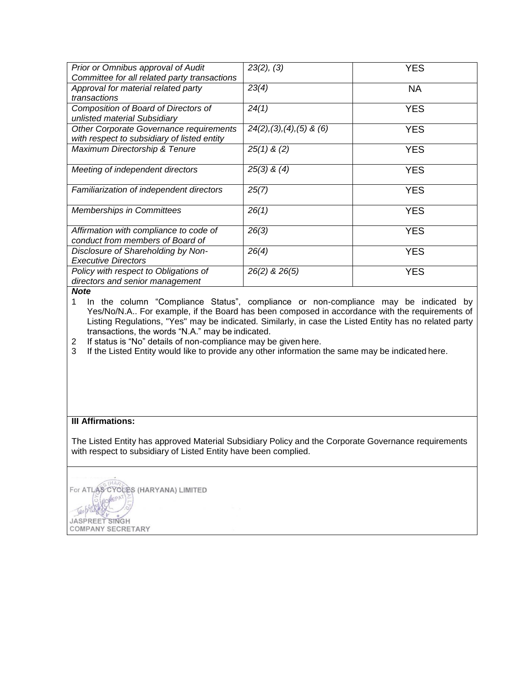| Prior or Omnibus approval of Audit<br>Committee for all related party transactions     | 23(2), (3)                   | <b>YES</b> |
|----------------------------------------------------------------------------------------|------------------------------|------------|
| Approval for material related party<br>transactions                                    | 23(4)                        | NА         |
| Composition of Board of Directors of<br>unlisted material Subsidiary                   | 24(1)                        | YES.       |
| Other Corporate Governance requirements<br>with respect to subsidiary of listed entity | $24(2), (3), (4), (5)$ & (6) | <b>YES</b> |
| Maximum Directorship & Tenure                                                          | $25(1)$ & $(2)$              | <b>YES</b> |
| Meeting of independent directors                                                       | $25(3)$ & $(4)$              | <b>YES</b> |
| Familiarization of independent directors                                               | 25(7)                        | <b>YES</b> |
| <b>Memberships in Committees</b>                                                       | 26(1)                        | YES        |
| Affirmation with compliance to code of<br>conduct from members of Board of             | 26(3)                        | <b>YES</b> |
| Disclosure of Shareholding by Non-<br><b>Executive Directors</b>                       | 26(4)                        | <b>YES</b> |
| Policy with respect to Obligations of<br>directors and senior management               | 26(2) & 26(5)                | <b>YES</b> |

*Note*

1 In the column "Compliance Status", compliance or non-compliance may be indicated by Yes/No/N.A.. For example, if the Board has been composed in accordance with the requirements of Listing Regulations, "Yes" may be indicated. Similarly, in case the Listed Entity has no related party transactions, the words "N.A." may be indicated.

2 If status is "No" details of non-compliance may be given here.

3 If the Listed Entity would like to provide any other information the same may be indicated here.

### **III Affirmations:**

The Listed Entity has approved Material Subsidiary Policy and the Corporate Governance requirements with respect to subsidiary of Listed Entity have been complied.

For ATLAS CYCLES (HARYANA) LIMITED JASPREET SINGH **COMPANY SECRETARY**